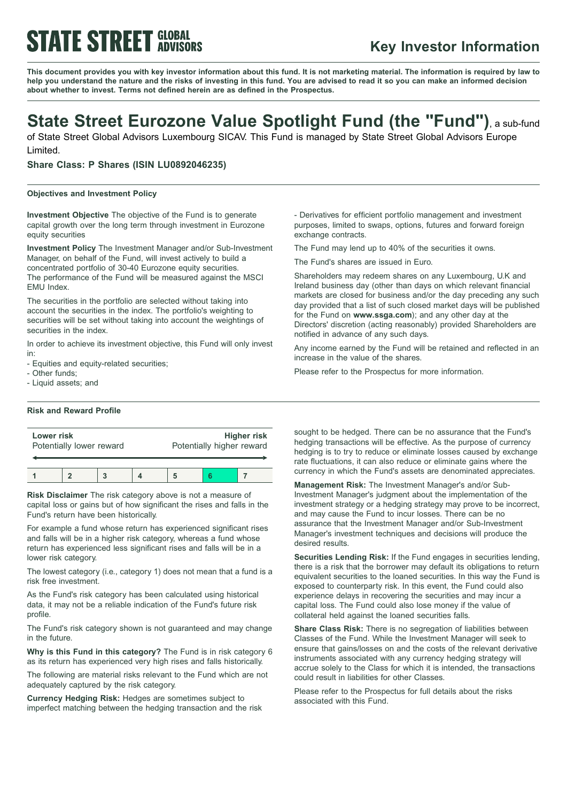# **STATE STREET GLOBAL**

# **Key Investor Information**

This document provides you with key investor information about this fund. It is not marketing material. The information is required by law to help you understand the nature and the risks of investing in this fund. You are advised to read it so you can make an informed decision **about whether to invest. Terms not defined herein are as defined in the Prospectus.**

# **State Street Eurozone Value Spotlight Fund (the "Fund")**, <sup>a</sup> sub-fund

of State Street Global Advisors Luxembourg SICAV. This Fund is managed by State Street Global Advisors Europe Limited.

**Share Class: P Shares (ISIN LU0892046235)**

## **Objectives and Investment Policy**

**Investment Objective** The objective of the Fund is to generate capital growth over the long term through investment in Eurozone equity securities

**Investment Policy** The Investment Manager and/or Sub-Investment Manager, on behalf of the Fund, will invest actively to build a concentrated portfolio of 30-40 Eurozone equity securities. The performance of the Fund will be measured against the MSCI EMU Index.

The securities in the portfolio are selected without taking into account the securities in the index. The portfolio's weighting to securities will be set without taking into account the weightings of securities in the index.

In order to achieve its investment objective, this Fund will only invest in:

- Equities and equity-related securities;

- Other funds;

- Liquid assets; and

## **Risk and Reward Profile**

| Lower risk               |  |  |  | Higher risk               |  |  |
|--------------------------|--|--|--|---------------------------|--|--|
| Potentially lower reward |  |  |  | Potentially higher reward |  |  |
|                          |  |  |  |                           |  |  |

**Risk Disclaimer** The risk category above is not a measure of capital loss or gains but of how significant the rises and falls in the Fund's return have been historically.

For example a fund whose return has experienced significant rises and falls will be in a higher risk category, whereas a fund whose return has experienced less significant rises and falls will be in a lower risk category.

The lowest category (i.e., category 1) does not mean that a fund is a risk free investment.

As the Fund's risk category has been calculated using historical data, it may not be a reliable indication of the Fund's future risk profile.

The Fund's risk category shown is not guaranteed and may change in the future.

**Why is this Fund in this category?** The Fund is in risk category 6 as its return has experienced very high rises and falls historically.

The following are material risks relevant to the Fund which are not adequately captured by the risk category.

**Currency Hedging Risk:** Hedges are sometimes subject to imperfect matching between the hedging transaction and the risk - Derivatives for efficient portfolio management and investment purposes, limited to swaps, options, futures and forward foreign exchange contracts.

The Fund may lend up to 40% of the securities it owns.

The Fund's shares are issued in Euro.

Shareholders may redeem shares on any Luxembourg, U.K and Ireland business day (other than days on which relevant financial markets are closed for business and/or the day preceding any such day provided that a list of such closed market days will be published for the Fund on **www.ssga.com**); and any other day at the Directors' discretion (acting reasonably) provided Shareholders are notified in advance of any such days.

Any income earned by the Fund will be retained and reflected in an increase in the value of the shares.

Please refer to the Prospectus for more information.

sought to be hedged. There can be no assurance that the Fund's hedging transactions will be effective. As the purpose of currency hedging is to try to reduce or eliminate losses caused by exchange rate fluctuations, it can also reduce or eliminate gains where the currency in which the Fund's assets are denominated appreciates.

**Management Risk:** The Investment Manager's and/or Sub-Investment Manager's judgment about the implementation of the investment strategy or a hedging strategy may prove to be incorrect, and may cause the Fund to incur losses. There can be no assurance that the Investment Manager and/or Sub-Investment Manager's investment techniques and decisions will produce the desired results.

**Securities Lending Risk:** If the Fund engages in securities lending, there is a risk that the borrower may default its obligations to return equivalent securities to the loaned securities. In this way the Fund is exposed to counterparty risk. In this event, the Fund could also experience delays in recovering the securities and may incur a capital loss. The Fund could also lose money if the value of collateral held against the loaned securities falls.

**Share Class Risk:** There is no segregation of liabilities between Classes of the Fund. While the Investment Manager will seek to ensure that gains/losses on and the costs of the relevant derivative instruments associated with any currency hedging strategy will accrue solely to the Class for which it is intended, the transactions could result in liabilities for other Classes.

Please refer to the Prospectus for full details about the risks associated with this Fund.